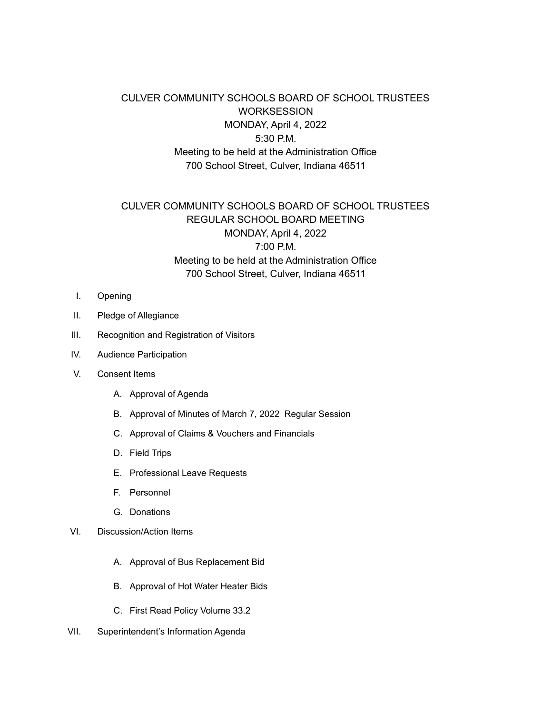## CULVER COMMUNITY SCHOOLS BOARD OF SCHOOL TRUSTEES WORKSESSION MONDAY, April 4, 2022 5:30 P.M. Meeting to be held at the Administration Office 700 School Street, Culver, Indiana 46511

## CULVER COMMUNITY SCHOOLS BOARD OF SCHOOL TRUSTEES REGULAR SCHOOL BOARD MEETING MONDAY, April 4, 2022 7:00 P.M. Meeting to be held at the Administration Office 700 School Street, Culver, Indiana 46511

- I. Opening
- II. Pledge of Allegiance
- III. Recognition and Registration of Visitors
- IV. Audience Participation
- V. Consent Items
	- A. Approval of Agenda
	- B. Approval of Minutes of March 7, 2022 Regular Session
	- C. Approval of Claims & Vouchers and Financials
	- D. Field Trips
	- E. Professional Leave Requests
	- F. Personnel
	- G. Donations

## VI. Discussion/Action Items

- A. Approval of Bus Replacement Bid
- B. Approval of Hot Water Heater Bids
- C. First Read Policy Volume 33.2
- VII. Superintendent's Information Agenda